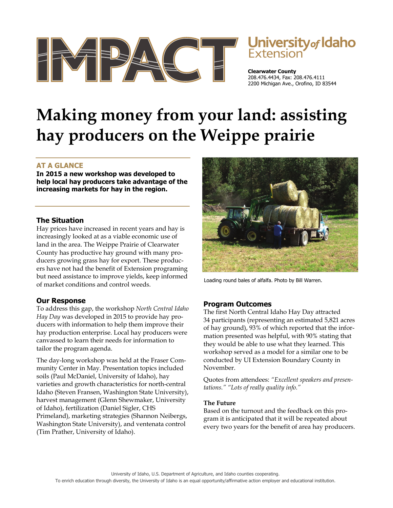

# Jniversity<sub>of</sub> Idaho

**Clearwater County**  208.476.4434, Fax: 208.476.4111 2200 Michigan Ave., Orofino, ID 83544

## **Making money from your land: assisting hay producers on the Weippe prairie**

### **AT A GLANCE**

**In 2015 a new workshop was developed to help local hay producers take advantage of the increasing markets for hay in the region.** 

#### **The Situation**

Hay prices have increased in recent years and hay is increasingly looked at as a viable economic use of land in the area. The Weippe Prairie of Clearwater County has productive hay ground with many producers growing grass hay for export. These producers have not had the benefit of Extension programing but need assistance to improve yields, keep informed of market conditions and control weeds.

#### **Our Response**

To address this gap, the workshop *North Central Idaho Hay Day* was developed in 2015 to provide hay producers with information to help them improve their hay production enterprise. Local hay producers were canvassed to learn their needs for information to tailor the program agenda.

The day-long workshop was held at the Fraser Community Center in May. Presentation topics included soils (Paul McDaniel, University of Idaho), hay varieties and growth characteristics for north-central Idaho (Steven Fransen, Washington State University), harvest management (Glenn Shewmaker, University of Idaho), fertilization (Daniel Sigler, CHS Primeland), marketing strategies (Shannon Neibergs, Washington State University), and ventenata control (Tim Prather, University of Idaho).



Loading round bales of alfalfa. Photo by Bill Warren.

#### **Program Outcomes**

The first North Central Idaho Hay Day attracted 34 participants (representing an estimated 5,821 acres of hay ground), 93% of which reported that the information presented was helpful, with 90% stating that they would be able to use what they learned. This workshop served as a model for a similar one to be conducted by UI Extension Boundary County in November.

Quotes from attendees: *"Excellent speakers and presentations." "Lots of really quality info."*

#### **The Future**

Based on the turnout and the feedback on this program it is anticipated that it will be repeated about every two years for the benefit of area hay producers.